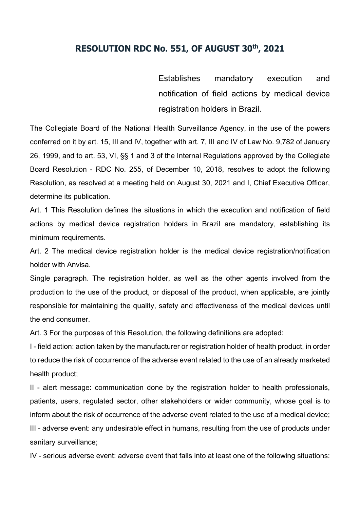## **RESOLUTION RDC No. 551, OF AUGUST 30th, 2021**

Establishes mandatory execution and notification of field actions by medical device registration holders in Brazil.

The Collegiate Board of the National Health Surveillance Agency, in the use of the powers conferred on it by art. 15, III and IV, together with art. 7, III and IV of Law No. 9,782 of January 26, 1999, and to art. 53, VI, §§ 1 and 3 of the Internal Regulations approved by the Collegiate Board Resolution - RDC No. 255, of December 10, 2018, resolves to adopt the following Resolution, as resolved at a meeting held on August 30, 2021 and I, Chief Executive Officer, determine its publication.

Art. 1 This Resolution defines the situations in which the execution and notification of field actions by medical device registration holders in Brazil are mandatory, establishing its minimum requirements.

Art. 2 The medical device registration holder is the medical device registration/notification holder with Anvisa.

Single paragraph. The registration holder, as well as the other agents involved from the production to the use of the product, or disposal of the product, when applicable, are jointly responsible for maintaining the quality, safety and effectiveness of the medical devices until the end consumer.

Art. 3 For the purposes of this Resolution, the following definitions are adopted:

I - field action: action taken by the manufacturer or registration holder of health product, in order to reduce the risk of occurrence of the adverse event related to the use of an already marketed health product;

II - alert message: communication done by the registration holder to health professionals, patients, users, regulated sector, other stakeholders or wider community, whose goal is to inform about the risk of occurrence of the adverse event related to the use of a medical device; III - adverse event: any undesirable effect in humans, resulting from the use of products under sanitary surveillance;

IV - serious adverse event: adverse event that falls into at least one of the following situations: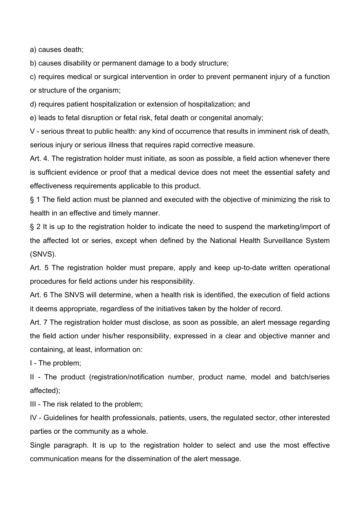a) causes death;

b) causes disability or permanent damage to a body structure;

c) requires medical or surgical intervention in order to prevent permanent injury of a function or structure of the organism;

d) requires patient hospitalization or extension of hospitalization; and

e) leads to fetal disruption or fetal risk, fetal death or congenital anomaly;

V - serious threat to public health: any kind of occurrence that results in imminent risk of death, serious injury or serious illness that requires rapid corrective measure.

Art. 4. The registration holder must initiate, as soon as possible, a field action whenever there is sufficient evidence or proof that a medical device does not meet the essential safety and effectiveness requirements applicable to this product.

§ 1 The field action must be planned and executed with the objective of minimizing the risk to health in an effective and timely manner.

§ 2 It is up to the registration holder to indicate the need to suspend the marketing/import of the affected lot or series, except when defined by the National Health Surveillance System (SNVS).

Art. 5 The registration holder must prepare, apply and keep up-to-date written operational procedures for field actions under his responsibility.

Art. 6 The SNVS will determine, when a health risk is identified, the execution of field actions it deems appropriate, regardless of the initiatives taken by the holder of record.

Art. 7 The registration holder must disclose, as soon as possible, an alert message regarding the field action under his/her responsibility, expressed in a clear and objective manner and containing, at least, information on:

I - The problem;

II - The product (registration/notification number, product name, model and batch/series affected);

III - The risk related to the problem;

IV - Guidelines for health professionals, patients, users, the regulated sector, other interested parties or the community as a whole.

Single paragraph. It is up to the registration holder to select and use the most effective communication means for the dissemination of the alert message.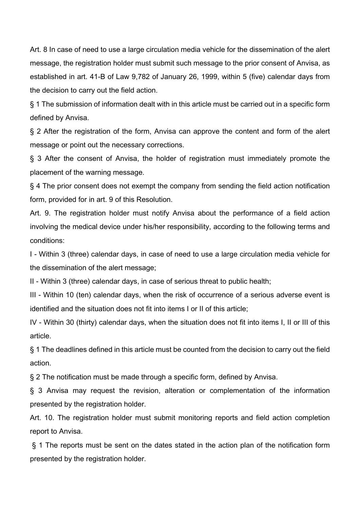Art. 8 In case of need to use a large circulation media vehicle for the dissemination of the alert message, the registration holder must submit such message to the prior consent of Anvisa, as established in art. 41-B of Law 9,782 of January 26, 1999, within 5 (five) calendar days from the decision to carry out the field action.

§ 1 The submission of information dealt with in this article must be carried out in a specific form defined by Anvisa.

§ 2 After the registration of the form, Anvisa can approve the content and form of the alert message or point out the necessary corrections.

§ 3 After the consent of Anvisa, the holder of registration must immediately promote the placement of the warning message.

§ 4 The prior consent does not exempt the company from sending the field action notification form, provided for in art. 9 of this Resolution.

Art. 9. The registration holder must notify Anvisa about the performance of a field action involving the medical device under his/her responsibility, according to the following terms and conditions:

I - Within 3 (three) calendar days, in case of need to use a large circulation media vehicle for the dissemination of the alert message;

II - Within 3 (three) calendar days, in case of serious threat to public health;

III - Within 10 (ten) calendar days, when the risk of occurrence of a serious adverse event is identified and the situation does not fit into items I or II of this article;

IV - Within 30 (thirty) calendar days, when the situation does not fit into items I, II or III of this article.

§ 1 The deadlines defined in this article must be counted from the decision to carry out the field action.

§ 2 The notification must be made through a specific form, defined by Anvisa.

§ 3 Anvisa may request the revision, alteration or complementation of the information presented by the registration holder.

Art. 10. The registration holder must submit monitoring reports and field action completion report to Anvisa.

§ 1 The reports must be sent on the dates stated in the action plan of the notification form presented by the registration holder.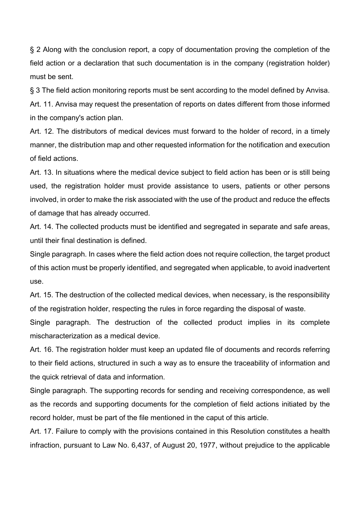§ 2 Along with the conclusion report, a copy of documentation proving the completion of the field action or a declaration that such documentation is in the company (registration holder) must be sent.

§ 3 The field action monitoring reports must be sent according to the model defined by Anvisa.

Art. 11. Anvisa may request the presentation of reports on dates different from those informed in the company's action plan.

Art. 12. The distributors of medical devices must forward to the holder of record, in a timely manner, the distribution map and other requested information for the notification and execution of field actions.

Art. 13. In situations where the medical device subject to field action has been or is still being used, the registration holder must provide assistance to users, patients or other persons involved, in order to make the risk associated with the use of the product and reduce the effects of damage that has already occurred.

Art. 14. The collected products must be identified and segregated in separate and safe areas, until their final destination is defined.

Single paragraph. In cases where the field action does not require collection, the target product of this action must be properly identified, and segregated when applicable, to avoid inadvertent use.

Art. 15. The destruction of the collected medical devices, when necessary, is the responsibility of the registration holder, respecting the rules in force regarding the disposal of waste.

Single paragraph. The destruction of the collected product implies in its complete mischaracterization as a medical device.

Art. 16. The registration holder must keep an updated file of documents and records referring to their field actions, structured in such a way as to ensure the traceability of information and the quick retrieval of data and information.

Single paragraph. The supporting records for sending and receiving correspondence, as well as the records and supporting documents for the completion of field actions initiated by the record holder, must be part of the file mentioned in the caput of this article.

Art. 17. Failure to comply with the provisions contained in this Resolution constitutes a health infraction, pursuant to Law No. 6,437, of August 20, 1977, without prejudice to the applicable